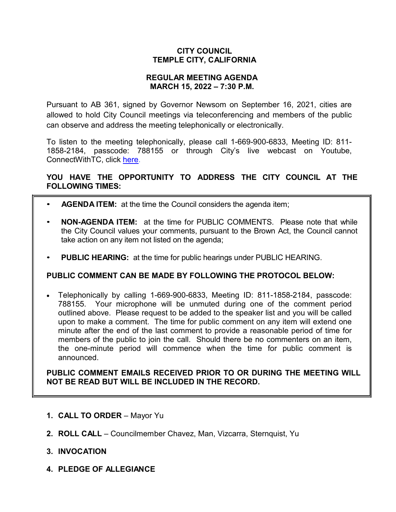## **CITY COUNCIL TEMPLE CITY, CALIFORNIA**

### **REGULAR MEETING AGENDA MARCH 15, 2022 – 7:30 P.M.**

Pursuant to AB 361, signed by Governor Newsom on September 16, 2021, cities are allowed to hold City Council meetings via teleconferencing and members of the public can observe and address the meeting telephonically or electronically.

To listen to the meeting telephonically, please call 1-669-900-6833, Meeting ID: 811- 1858-2184, passcode: 788155 or through City's live webcast on Youtube, ConnectWithTC, click [here.](https://www.ci.temple-city.ca.us/516/Meeting-Webcast)

## **YOU HAVE THE OPPORTUNITY TO ADDRESS THE CITY COUNCIL AT THE FOLLOWING TIMES:**

- **AGENDA ITEM:** at the time the Council considers the agenda item;
- **NON-AGENDA ITEM:** at the time for PUBLIC COMMENTS. Please note that while the City Council values your comments, pursuant to the Brown Act, the Council cannot take action on any item not listed on the agenda;
- **PUBLIC HEARING:** at the time for public hearings under PUBLIC HEARING.

### **PUBLIC COMMENT CAN BE MADE BY FOLLOWING THE PROTOCOL BELOW:**

• Telephonically by calling 1-669-900-6833, Meeting ID: 811-1858-2184, passcode: 788155. Your microphone will be unmuted during one of the comment period outlined above. Please request to be added to the speaker list and you will be called upon to make a comment. The time for public comment on any item will extend one minute after the end of the last comment to provide a reasonable period of time for members of the public to join the call. Should there be no commenters on an item, the one-minute period will commence when the time for public comment is announced.

**PUBLIC COMMENT EMAILS RECEIVED PRIOR TO OR DURING THE MEETING WILL NOT BE READ BUT WILL BE INCLUDED IN THE RECORD.**

- **1. CALL TO ORDER**  Mayor Yu
- **2. ROLL CALL**  Councilmember Chavez, Man, Vizcarra, Sternquist, Yu
- **3. INVOCATION**
- **4. PLEDGE OF ALLEGIANCE**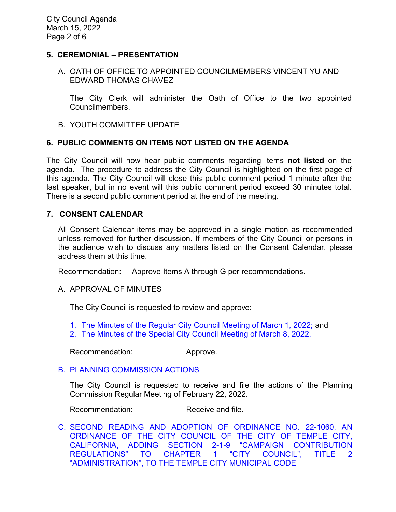### **5. CEREMONIAL – PRESENTATION**

### A. OATH OF OFFICE TO APPOINTED COUNCILMEMBERS VINCENT YU AND EDWARD THOMAS CHAVEZ

The City Clerk will administer the Oath of Office to the two appointed Councilmembers.

B. YOUTH COMMITTEE UPDATE

### **6. PUBLIC COMMENTS ON ITEMS NOT LISTED ON THE AGENDA**

The City Council will now hear public comments regarding items **not listed** on the agenda. The procedure to address the City Council is highlighted on the first page of this agenda. The City Council will close this public comment period 1 minute after the last speaker, but in no event will this public comment period exceed 30 minutes total. There is a second public comment period at the end of the meeting.

#### **7. CONSENT CALENDAR**

All Consent Calendar items may be approved in a single motion as recommended unless removed for further discussion. If members of the City Council or persons in the audience wish to discuss any matters listed on the Consent Calendar, please address them at this time.

Recommendation: Approve Items A through G per recommendations.

#### A. APPROVAL OF MINUTES

The City Council is requested to review and approve:

- 1. [The Minutes of the Regular City Council Meeting of March](https://www.ci.temple-city.ca.us/DocumentCenter/View/17586/7A-1_CCM---2022-03-01) 1, 2022; and
- 2. [The Minutes of the Special City Council Meeting of March 8, 2022.](https://www.ci.temple-city.ca.us/DocumentCenter/View/17587/7A-2_CCM---2022-03-08-Special)

Recommendation: Approve.

#### B. [PLANNING COMMISSION ACTIONS](https://www.ci.temple-city.ca.us/DocumentCenter/View/17575/7B_PC-Actions_-2022-2-22)

The City Council is requested to receive and file the actions of the Planning Commission Regular Meeting of February 22, 2022.

Recommendation: Receive and file.

C. [SECOND READING AND ADOPTION OF ORDINANCE NO. 22-1060, AN](https://www.ci.temple-city.ca.us/DocumentCenter/View/17576/7C_2nd-Reading-and-Adoption-of-Campaign-Contribution-Limit-Ordinance-22-1060-Staff-Report)  [ORDINANCE OF THE CITY COUNCIL OF THE CITY OF TEMPLE CITY,](https://www.ci.temple-city.ca.us/DocumentCenter/View/17576/7C_2nd-Reading-and-Adoption-of-Campaign-Contribution-Limit-Ordinance-22-1060-Staff-Report)  [CALIFORNIA, ADDING SECTION 2-1-9 "CAMPAIGN CONTRIBUTION](https://www.ci.temple-city.ca.us/DocumentCenter/View/17576/7C_2nd-Reading-and-Adoption-of-Campaign-Contribution-Limit-Ordinance-22-1060-Staff-Report)  REGULATIONS" TO [CHAPTER 1 "CITY COUNCIL", TITLE 2](https://www.ci.temple-city.ca.us/DocumentCenter/View/17576/7C_2nd-Reading-and-Adoption-of-Campaign-Contribution-Limit-Ordinance-22-1060-Staff-Report)  ["ADMINISTRATION", TO THE TEMPLE CITY MUNICIPAL CODE](https://www.ci.temple-city.ca.us/DocumentCenter/View/17576/7C_2nd-Reading-and-Adoption-of-Campaign-Contribution-Limit-Ordinance-22-1060-Staff-Report)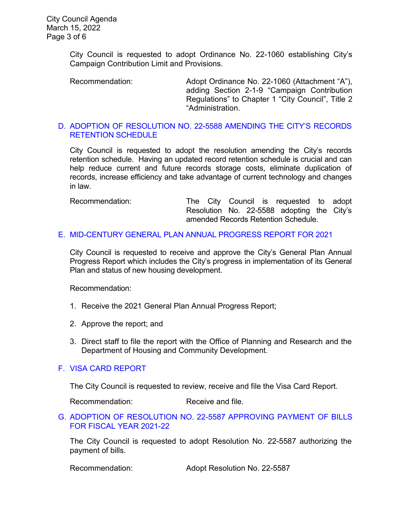City Council is requested to adopt Ordinance No. 22-1060 establishing City's Campaign Contribution Limit and Provisions.

Recommendation: Adopt Ordinance No. 22-1060 (Attachment "A"), adding Section 2-1-9 "Campaign Contribution Regulations" to Chapter 1 "City Council", Title 2 "Administration.

### D. [ADOPTION OF RESOLUTION NO. 22-5588](https://www.ci.temple-city.ca.us/DocumentCenter/View/17578/7D_Amended-City-Record-Retention-Schedule_-w-attachment-for-Public) AMENDING THE CITY'S RECORDS [RETENTION SCHEDULE](https://www.ci.temple-city.ca.us/DocumentCenter/View/17578/7D_Amended-City-Record-Retention-Schedule_-w-attachment-for-Public)

City Council is requested to adopt the resolution amending the City's records retention schedule. Having an updated record retention schedule is crucial and can help reduce current and future records storage costs, eliminate duplication of records, increase efficiency and take advantage of current technology and changes in law.

Recommendation: The City Council is requested to adopt Resolution No. 22-5588 adopting the City's amended Records Retention Schedule.

## E. [MID-CENTURY GENERAL PLAN ANNUAL PROGRESS REPORT FOR 2021](https://www.ci.temple-city.ca.us/DocumentCenter/View/17579/7E_General-Plan-Annual-Report_CC-staff-Report-APR-2021_w-attachment)

City Council is requested to receive and approve the City's General Plan Annual Progress Report which includes the City's progress in implementation of its General Plan and status of new housing development.

Recommendation:

- 1. Receive the 2021 General Plan Annual Progress Report;
- 2. Approve the report; and
- 3. Direct staff to file the report with the Office of Planning and Research and the Department of Housing and Community Development.

# F. [VISA CARD REPORT](https://www.ci.temple-city.ca.us/DocumentCenter/View/17582/7H_31522-Visa-Card-Staff-Report-with-Signature)

The City Council is requested to review, receive and file the Visa Card Report.

Recommendation: Receive and file.

G. [ADOPTION OF RESOLUTION NO. 22-5587](https://www.ci.temple-city.ca.us/DocumentCenter/View/17583/7I_Reso-No-22-5587-31522---Warrants--Demands-FY-2021-2022) APPROVING PAYMENT OF BILLS [FOR FISCAL YEAR 2021-22](https://www.ci.temple-city.ca.us/DocumentCenter/View/17583/7I_Reso-No-22-5587-31522---Warrants--Demands-FY-2021-2022)

The City Council is requested to adopt Resolution No. 22-5587 authorizing the payment of bills.

Recommendation: Adopt Resolution No. 22-5587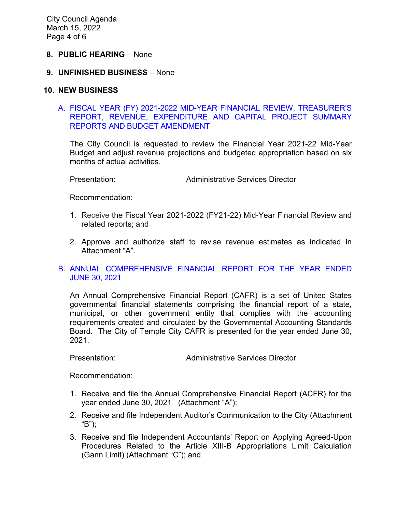#### **8. PUBLIC HEARING** – None

#### **9. UNFINISHED BUSINESS** – None

#### **10. NEW BUSINESS**

#### [A. FISCAL YEAR \(FY\) 2021-2022 MID-YEAR FINANCIAL REVIEW, TREASURER'S](https://www.ci.temple-city.ca.us/DocumentCenter/View/17580/10A_Mid-Year-Financial-Status-Review_Staff-Report-FY2122_w-attachments)  [REPORT, REVENUE, EXPENDITURE AND CAPITAL](https://www.ci.temple-city.ca.us/DocumentCenter/View/17580/10A_Mid-Year-Financial-Status-Review_Staff-Report-FY2122_w-attachments) PROJECT SUMMARY [REPORTS AND BUDGET AMENDMENT](https://www.ci.temple-city.ca.us/DocumentCenter/View/17580/10A_Mid-Year-Financial-Status-Review_Staff-Report-FY2122_w-attachments)

The City Council is requested to review the Financial Year 2021-22 Mid-Year Budget and adjust revenue projections and budgeted appropriation based on six months of actual activities.

Presentation: Administrative Services Director

Recommendation:

- 1. Receive the Fiscal Year 2021-2022 (FY21-22) Mid-Year Financial Review and related reports; and
- 2. Approve and authorize staff to revise revenue estimates as indicated in Attachment "A".

### B. [ANNUAL COMPREHENSIVE FINANCIAL REPORT FOR THE YEAR ENDED](https://www.ci.temple-city.ca.us/DocumentCenter/View/17581/7G_CAFR2021_Staff-Report_w-attachments)  [JUNE 30, 2021](https://www.ci.temple-city.ca.us/DocumentCenter/View/17581/7G_CAFR2021_Staff-Report_w-attachments)

An Annual Comprehensive Financial Report (CAFR) is a set of United States governmental financial statements comprising the financial report of a state, municipal, or other government entity that complies with the accounting requirements created and circulated by the Governmental Accounting Standards Board. The City of Temple City CAFR is presented for the year ended June 30, 2021.

Presentation: Administrative Services Director

Recommendation:

- 1. Receive and file the Annual Comprehensive Financial Report (ACFR) for the year ended June 30, 2021 (Attachment "A");
- 2. Receive and file Independent Auditor's Communication to the City (Attachment "B");
- 3. Receive and file Independent Accountants' Report on Applying Agreed-Upon Procedures Related to the Article XIII-B Appropriations Limit Calculation (Gann Limit) (Attachment "C"); and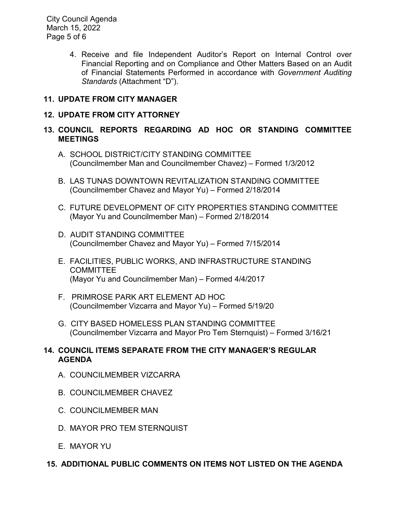City Council Agenda March 15, 2022 Page 5 of 6

> 4. Receive and file Independent Auditor's Report on Internal Control over Financial Reporting and on Compliance and Other Matters Based on an Audit of Financial Statements Performed in accordance with *Government Auditing Standards* (Attachment "D").

# **11. UPDATE FROM CITY MANAGER**

# **12. UPDATE FROM CITY ATTORNEY**

### **13. COUNCIL REPORTS REGARDING AD HOC OR STANDING COMMITTEE MEETINGS**

- A. SCHOOL DISTRICT/CITY STANDING COMMITTEE (Councilmember Man and Councilmember Chavez) – Formed 1/3/2012
- B. LAS TUNAS DOWNTOWN REVITALIZATION STANDING COMMITTEE (Councilmember Chavez and Mayor Yu) – Formed 2/18/2014
- C. FUTURE DEVELOPMENT OF CITY PROPERTIES STANDING COMMITTEE (Mayor Yu and Councilmember Man) – Formed 2/18/2014
- D. AUDIT STANDING COMMITTEE (Councilmember Chavez and Mayor Yu) – Formed 7/15/2014
- E. FACILITIES, PUBLIC WORKS, AND INFRASTRUCTURE STANDING **COMMITTEE** (Mayor Yu and Councilmember Man) – Formed 4/4/2017
- F. PRIMROSE PARK ART ELEMENT AD HOC (Councilmember Vizcarra and Mayor Yu) – Formed 5/19/20
- G. CITY BASED HOMELESS PLAN STANDING COMMITTEE (Councilmember Vizcarra and Mayor Pro Tem Sternquist) – Formed 3/16/21

## **14. COUNCIL ITEMS SEPARATE FROM THE CITY MANAGER'S REGULAR AGENDA**

- A. COUNCILMEMBER VIZCARRA
- B. COUNCILMEMBER CHAVEZ
- C. COUNCILMEMBER MAN
- D. MAYOR PRO TEM STERNQUIST
- E. MAYOR YU

# **15. ADDITIONAL PUBLIC COMMENTS ON ITEMS NOT LISTED ON THE AGENDA**